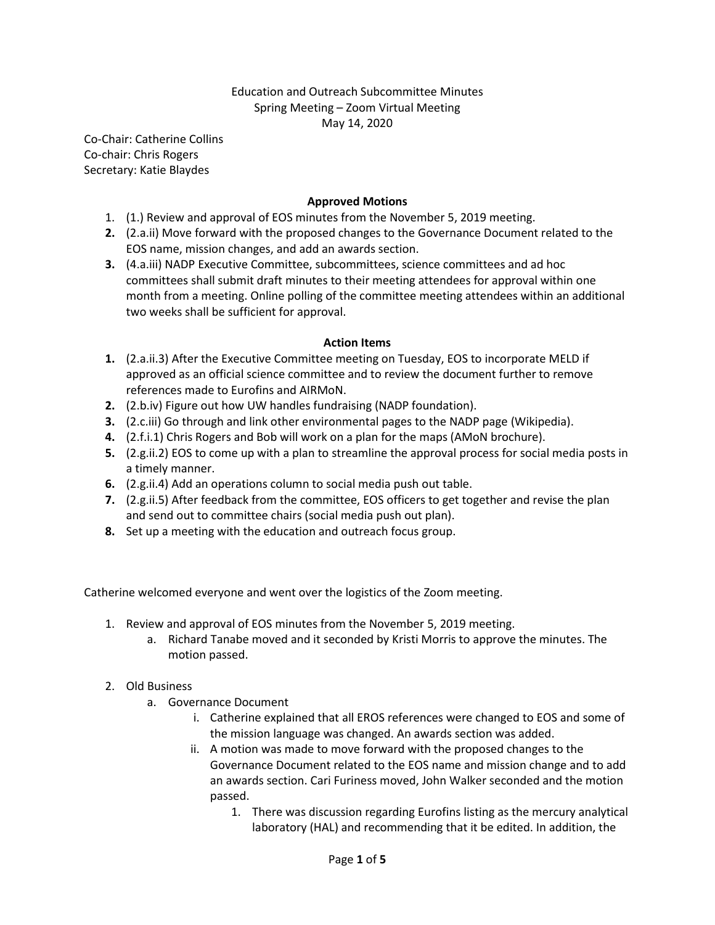# Education and Outreach Subcommittee Minutes Spring Meeting – Zoom Virtual Meeting May 14, 2020

Co-Chair: Catherine Collins Co-chair: Chris Rogers Secretary: Katie Blaydes

# **Approved Motions**

- 1. (1.) Review and approval of EOS minutes from the November 5, 2019 meeting.
- **2.** (2.a.ii) Move forward with the proposed changes to the Governance Document related to the EOS name, mission changes, and add an awards section.
- **3.** (4.a.iii) NADP Executive Committee, subcommittees, science committees and ad hoc committees shall submit draft minutes to their meeting attendees for approval within one month from a meeting. Online polling of the committee meeting attendees within an additional two weeks shall be sufficient for approval.

## **Action Items**

- **1.** (2.a.ii.3) After the Executive Committee meeting on Tuesday, EOS to incorporate MELD if approved as an official science committee and to review the document further to remove references made to Eurofins and AIRMoN.
- **2.** (2.b.iv) Figure out how UW handles fundraising (NADP foundation).
- **3.** (2.c.iii) Go through and link other environmental pages to the NADP page (Wikipedia).
- **4.** (2.f.i.1) Chris Rogers and Bob will work on a plan for the maps (AMoN brochure).
- **5.** (2.g.ii.2) EOS to come up with a plan to streamline the approval process for social media posts in a timely manner.
- **6.** (2.g.ii.4) Add an operations column to social media push out table.
- **7.** (2.g.ii.5) After feedback from the committee, EOS officers to get together and revise the plan and send out to committee chairs (social media push out plan).
- **8.** Set up a meeting with the education and outreach focus group.

Catherine welcomed everyone and went over the logistics of the Zoom meeting.

- 1. Review and approval of EOS minutes from the November 5, 2019 meeting.
	- a. Richard Tanabe moved and it seconded by Kristi Morris to approve the minutes. The motion passed.

## 2. Old Business

- a. Governance Document
	- i. Catherine explained that all EROS references were changed to EOS and some of the mission language was changed. An awards section was added.
	- ii. A motion was made to move forward with the proposed changes to the Governance Document related to the EOS name and mission change and to add an awards section. Cari Furiness moved, John Walker seconded and the motion passed.
		- 1. There was discussion regarding Eurofins listing as the mercury analytical laboratory (HAL) and recommending that it be edited. In addition, the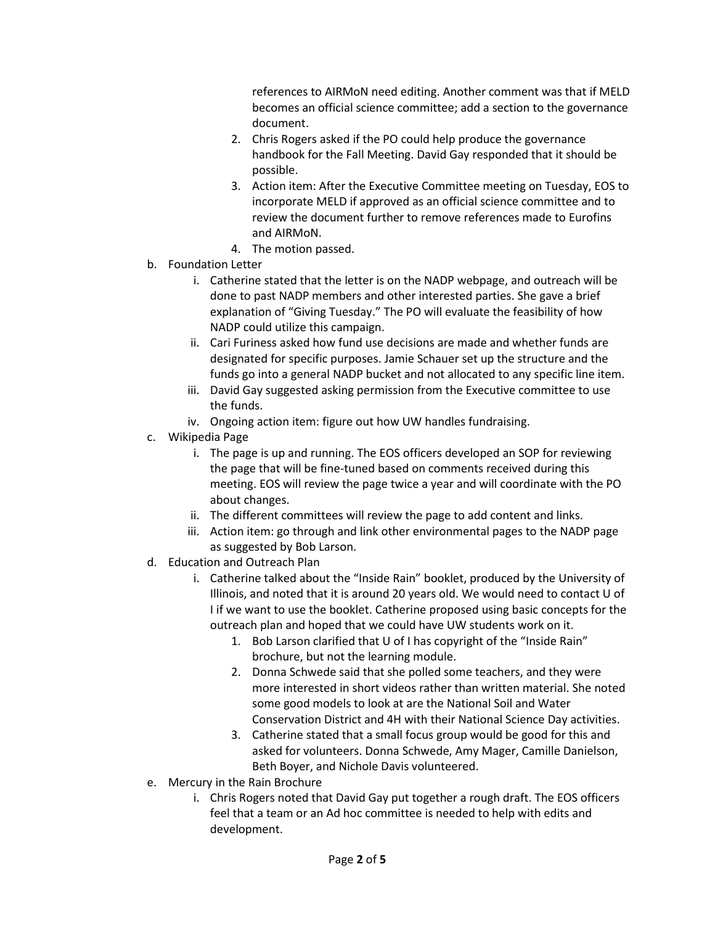references to AIRMoN need editing. Another comment was that if MELD becomes an official science committee; add a section to the governance document.

- 2. Chris Rogers asked if the PO could help produce the governance handbook for the Fall Meeting. David Gay responded that it should be possible.
- 3. Action item: After the Executive Committee meeting on Tuesday, EOS to incorporate MELD if approved as an official science committee and to review the document further to remove references made to Eurofins and AIRMoN.
- 4. The motion passed.
- b. Foundation Letter
	- i. Catherine stated that the letter is on the NADP webpage, and outreach will be done to past NADP members and other interested parties. She gave a brief explanation of "Giving Tuesday." The PO will evaluate the feasibility of how NADP could utilize this campaign.
	- ii. Cari Furiness asked how fund use decisions are made and whether funds are designated for specific purposes. Jamie Schauer set up the structure and the funds go into a general NADP bucket and not allocated to any specific line item.
	- iii. David Gay suggested asking permission from the Executive committee to use the funds.
	- iv. Ongoing action item: figure out how UW handles fundraising.
- c. Wikipedia Page
	- i. The page is up and running. The EOS officers developed an SOP for reviewing the page that will be fine-tuned based on comments received during this meeting. EOS will review the page twice a year and will coordinate with the PO about changes.
	- ii. The different committees will review the page to add content and links.
	- iii. Action item: go through and link other environmental pages to the NADP page as suggested by Bob Larson.
- d. Education and Outreach Plan
	- i. Catherine talked about the "Inside Rain" booklet, produced by the University of Illinois, and noted that it is around 20 years old. We would need to contact U of I if we want to use the booklet. Catherine proposed using basic concepts for the outreach plan and hoped that we could have UW students work on it.
		- 1. Bob Larson clarified that U of I has copyright of the "Inside Rain" brochure, but not the learning module.
		- 2. Donna Schwede said that she polled some teachers, and they were more interested in short videos rather than written material. She noted some good models to look at are the National Soil and Water Conservation District and 4H with their National Science Day activities.
		- 3. Catherine stated that a small focus group would be good for this and asked for volunteers. Donna Schwede, Amy Mager, Camille Danielson, Beth Boyer, and Nichole Davis volunteered.
- e. Mercury in the Rain Brochure
	- i. Chris Rogers noted that David Gay put together a rough draft. The EOS officers feel that a team or an Ad hoc committee is needed to help with edits and development.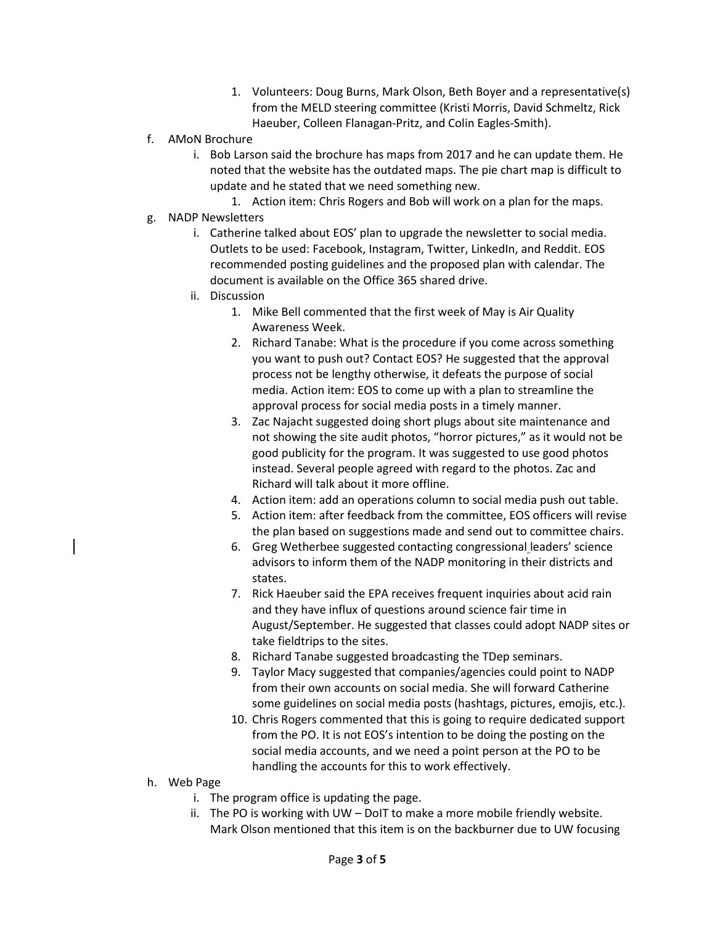- 1. Volunteers: Doug Burns, Mark Olson, Beth Boyer and a representative(s) from the MELD steering committee (Kristi Morris, David Schmeltz, Rick Haeuber, Colleen Flanagan-Pritz, and Colin Eagles-Smith).
- f. AMoN Brochure
	- i. Bob Larson said the brochure has maps from 2017 and he can update them. He noted that the website has the outdated maps. The pie chart map is difficult to update and he stated that we need something new.
		- 1. Action item: Chris Rogers and Bob will work on a plan for the maps.
- g. NADP Newsletters
	- i. Catherine talked about EOS' plan to upgrade the newsletter to social media. Outlets to be used: Facebook, Instagram, Twitter, LinkedIn, and Reddit. EOS recommended posting guidelines and the proposed plan with calendar. The document is available on the Office 365 shared drive.
	- ii. Discussion
		- 1. Mike Bell commented that the first week of May is Air Quality Awareness Week.
		- 2. Richard Tanabe: What is the procedure if you come across something you want to push out? Contact EOS? He suggested that the approval process not be lengthy otherwise, it defeats the purpose of social media. Action item: EOS to come up with a plan to streamline the approval process for social media posts in a timely manner.
		- 3. Zac Najacht suggested doing short plugs about site maintenance and not showing the site audit photos, "horror pictures," as it would not be good publicity for the program. It was suggested to use good photos instead. Several people agreed with regard to the photos. Zac and Richard will talk about it more offline.
		- 4. Action item: add an operations column to social media push out table.
		- 5. Action item: after feedback from the committee, EOS officers will revise the plan based on suggestions made and send out to committee chairs.
		- 6. Greg Wetherbee suggested contacting congressional leaders' science advisors to inform them of the NADP monitoring in their districts and states.
		- 7. Rick Haeuber said the EPA receives frequent inquiries about acid rain and they have influx of questions around science fair time in August/September. He suggested that classes could adopt NADP sites or take fieldtrips to the sites.
		- 8. Richard Tanabe suggested broadcasting the TDep seminars.
		- 9. Taylor Macy suggested that companies/agencies could point to NADP from their own accounts on social media. She will forward Catherine some guidelines on social media posts (hashtags, pictures, emojis, etc.).
		- 10. Chris Rogers commented that this is going to require dedicated support from the PO. It is not EOS's intention to be doing the posting on the social media accounts, and we need a point person at the PO to be handling the accounts for this to work effectively.
- h. Web Page
	- i. The program office is updating the page.
	- ii. The PO is working with UW DoIT to make a more mobile friendly website. Mark Olson mentioned that this item is on the backburner due to UW focusing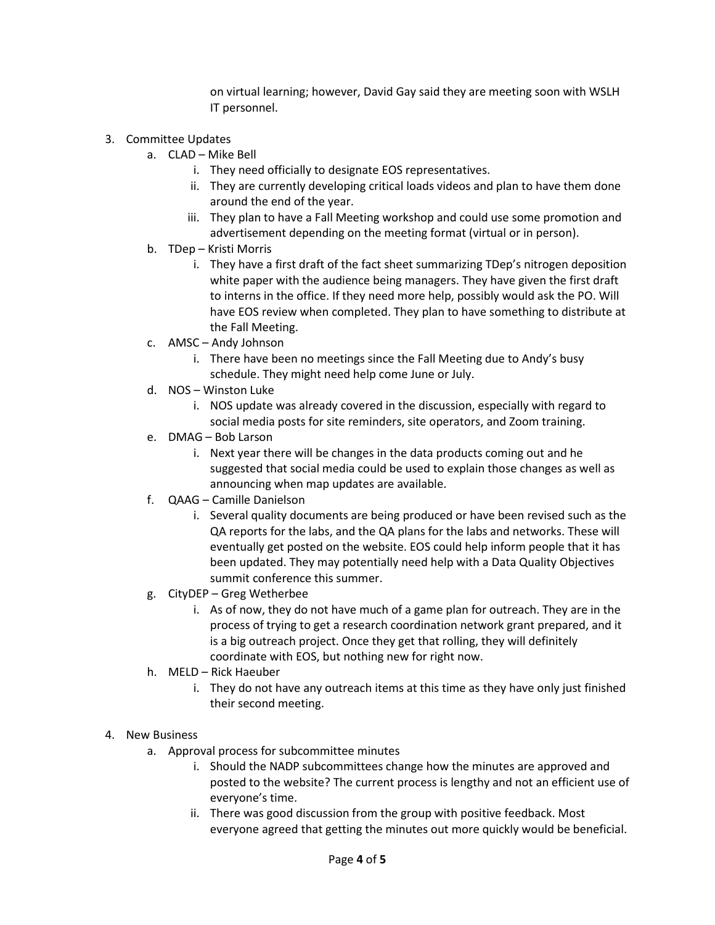on virtual learning; however, David Gay said they are meeting soon with WSLH IT personnel.

- 3. Committee Updates
	- a. CLAD Mike Bell
		- i. They need officially to designate EOS representatives.
		- ii. They are currently developing critical loads videos and plan to have them done around the end of the year.
		- iii. They plan to have a Fall Meeting workshop and could use some promotion and advertisement depending on the meeting format (virtual or in person).
	- b. TDep Kristi Morris
		- i. They have a first draft of the fact sheet summarizing TDep's nitrogen deposition white paper with the audience being managers. They have given the first draft to interns in the office. If they need more help, possibly would ask the PO. Will have EOS review when completed. They plan to have something to distribute at the Fall Meeting.
	- c. AMSC Andy Johnson
		- i. There have been no meetings since the Fall Meeting due to Andy's busy schedule. They might need help come June or July.
	- d. NOS Winston Luke
		- i. NOS update was already covered in the discussion, especially with regard to social media posts for site reminders, site operators, and Zoom training.
	- e. DMAG Bob Larson
		- i. Next year there will be changes in the data products coming out and he suggested that social media could be used to explain those changes as well as announcing when map updates are available.
	- f. QAAG Camille Danielson
		- i. Several quality documents are being produced or have been revised such as the QA reports for the labs, and the QA plans for the labs and networks. These will eventually get posted on the website. EOS could help inform people that it has been updated. They may potentially need help with a Data Quality Objectives summit conference this summer.
	- g. CityDEP Greg Wetherbee
		- i. As of now, they do not have much of a game plan for outreach. They are in the process of trying to get a research coordination network grant prepared, and it is a big outreach project. Once they get that rolling, they will definitely coordinate with EOS, but nothing new for right now.
	- h. MELD Rick Haeuber
		- i. They do not have any outreach items at this time as they have only just finished their second meeting.

## 4. New Business

- a. Approval process for subcommittee minutes
	- i. Should the NADP subcommittees change how the minutes are approved and posted to the website? The current process is lengthy and not an efficient use of everyone's time.
	- ii. There was good discussion from the group with positive feedback. Most everyone agreed that getting the minutes out more quickly would be beneficial.